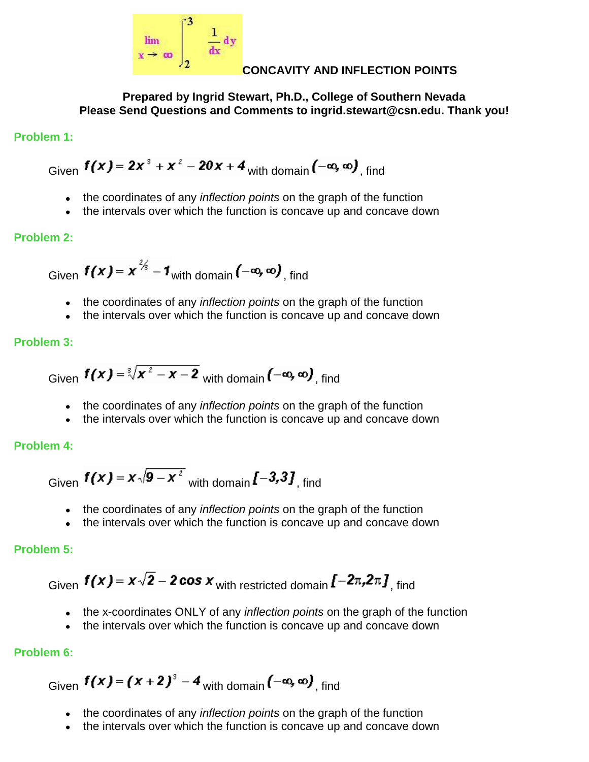

#### **CONCAVITY AND INFLECTION POINTS**

**Prepared by Ingrid Stewart, Ph.D., College of Southern Nevada Please Send Questions and Comments to ingrid.stewart@csn.edu. Thank you!**

## **Problem 1:**

Given  $f(x) = 2x^3 + x^2 - 20x + 4$  with domain  $(-\infty, \infty)$  find

- the coordinates of any *inflection points* on the graph of the function
- the intervals over which the function is concave up and concave down  $\bullet$

## **Problem 2:**

Given  $f(x) = x^{\frac{2}{3}} - 1$  with domain  $(-\infty, \infty)$  find

- the coordinates of any *inflection points* on the graph of the function
- the intervals over which the function is concave up and concave down

#### **Problem 3:**

Given 
$$
f(x) = \sqrt[3]{x^2 - x - 2}
$$
 with domain  $(-\infty, \infty)$ , find

- the coordinates of any *inflection points* on the graph of the function
- the intervals over which the function is concave up and concave down

## **Problem 4:**

Given  $f(x) = x\sqrt{9-x^2}$  with domain  $\mathbf{f}$  – 3,3], find

- the coordinates of any *inflection points* on the graph of the function
- the intervals over which the function is concave up and concave down

## **Problem 5:**

Given  $f(x) = x\sqrt{2} - 2\cos x$  with restricted domain  $[-2\pi, 2\pi, 1]$  find

- the x-coordinates ONLY of any *inflection points* on the graph of the function
- the intervals over which the function is concave up and concave down  $\bullet$

## **Problem 6:**

Given  $f(x) = (x + 2)^3 - 4$  with domain  $(-\infty, \infty)$  find

- the coordinates of any *inflection points* on the graph of the function
- the intervals over which the function is concave up and concave down